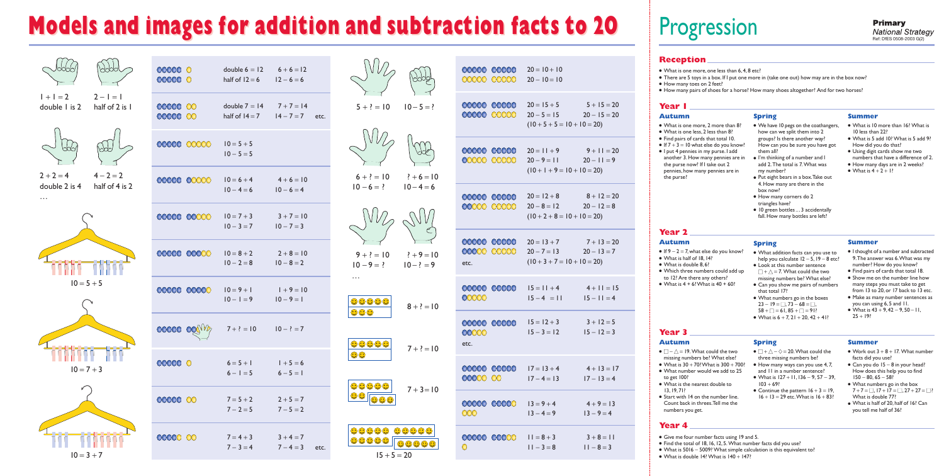## **Models and images for addition and subtraction facts to 20**



 $10 = 3 + 7$ 

| 00000 0<br>00000 0                      |                                | double $6 = 12$ $6 + 6 = 12$<br>half of $12 = 6$ $12 - 6 = 6$  |                              |      |
|-----------------------------------------|--------------------------------|----------------------------------------------------------------|------------------------------|------|
| 00000 00<br>00000 00                    |                                | double $7 = 14$ $7 + 7 = 14$<br>half of $14 = 7$ $14 - 7 = 7$  |                              | etc. |
|                                         | DOOO (XXXX)                    | $10 = 5 + 5$<br>$10 - 5 = 5$                                   |                              |      |
|                                         | 00000 00000                    | $10 = 6 + 4$<br>$10 - 4 = 6$                                   | $4+6=10$<br>$10 - 6 = 4$     |      |
|                                         | 00000 00000                    | $10 = 7 + 3$<br>$10 - 3 = 7$                                   | $3 + 7 = 10$<br>$10 - 7 = 3$ |      |
|                                         | 00000 00000                    | $10 = 8 + 2$<br>$10 - 2 = 8$                                   | $2+8=10$<br>$10 - 8 = 2$     |      |
| $\lambda$ $\lambda$ $\lambda$ $\lambda$ | $\bigcup\bigcup\bigcup\bigcup$ | $10 = 9 + 1$<br>$ 0 - 1 = 9 $                                  | $1+9=10$<br>$10 - 9 = 1$     |      |
|                                         |                                | <b>COOCO</b> $OQ(\sqrt[3]{\frac{1}{2}})$ 7 + ? = 10 10 - ? = 7 |                              |      |
| 000000                                  |                                | $6=5+1$ $1+5=6$<br>$6 - 1 = 5$ $6 - 5 = 1$                     |                              |      |
| 00000 00                                |                                | $7=5+2$ $2+5=7$<br>$7-2=5$ $7-5=2$                             |                              |      |
| 00000 00                                |                                | $7 = 4 + 3$ $3 + 4 = 7$<br>$7 - 3 = 4$                         | $7 - 4 = 3$ etc.             |      |



# Progression

#### **Reception**

- What is one more, one less than 6, 4, 8 etc?
- There are 5 toys in a box. If I put one more in (take one out) how may are in the box now?
- How many toes on 2 feet?
- . How many pairs of shoes for a horse? How many shoes altogether? And for two horses?

#### Year I

#### **Autumn**

- What is one more, 2 more than 8?
- What is one less, 2 less than 8?
- Find pairs of cards that total 10.
- If  $7 + 3 = 10$  what else do you know?
- I put 4 pennies in my purse. I add another 3. How many pennies are in the purse now? If I take out 2 pennies, how many pennies are in the purse?

#### **Spring**

- We have 10 pegs on the coathangers, how can we split them into 2 groups? Is there another way? How can you be sure you have got them all?
- I'm thinking of a number and I add 2. The total is 7. What was my number?
- Put eight bears in a box. Take out 4. How many are there in the hox now?
- · How many corners do 2 triangles have?
- · 10 green bottles ... 3 accidentally fall. How many bottles are left?

#### **Summer**

- What is 10 more than 16? What is 10 less than 22?
- What is 5 add 10? What is 5 add 9? How did you do that?
- Using digit cards show me two numbers that have a difference of 2.
- How many days are in 2 weeks?
- What is  $4 + 2 + 1$ ?

#### **Year 2**

#### **Autumn**

- If  $9 2 = 7$ , what else do you know?
- $\bullet$  What is half of 18, 14?
- $\bullet$  What is double 8.6?
- Which three numbers could add up to 12? Are there any others?
- What is  $4 + 6$ ! What is  $40 + 60$ !

#### **Spring**

- What addition facts can you use to help you calculate  $12 - 5$ ,  $19 - 8$  etc?
- Look at this number sentence  $\Box$  +  $\triangle$  = 7. What could the two missing numbers be? What else?
- Can you show me pairs of numbers that total 17?
- What numbers go in the boxes  $23 - 19 = 73 - 68 = 7$  $58 + \square = 61.85 + \square = 91?$
- What is  $6 + 7$ ,  $21 + 20$ ,  $42 + 41$ ?

#### **Summer**

- I thought of a number and subtracted 9. The answer was 6. What was mv number? How do you know?
- Find pairs of cards that total 18.
- Show me on the number line how many steps you must take to get from 13 to 20, or 17 back to 13 etc.
- Make as many number sentences as you can using 6, 5 and 11.
- What is  $43 + 9, 42 9, 50 11$ ,  $25 + 19?$

#### **Summer**

- Work out  $3 + 8 + 17$ . What number facts did you use?
- $\bullet$  Can you do 15 8 in your head? How does this help you to find  $150 - 80.65 - 58$
- What numbers go in the box  $7+7 = 7$ ,  $17+17 = 7$ ,  $27+27 = 7$ What is double 77?
- What is half of 20, half of 16? Can you tell me half of 36?

### Year<sub>3</sub>

#### **Autumn**

- $\bullet$   $\Box$   $\triangle$  = 19. What could the two missing numbers be? What else?
- What is  $30 + 70$ ? What is  $300 + 700$ ?
- What number would we add to 25
- to get 100?
- What is the nearest double to  $13.19.71?$
- Start with 14 on the number line. Count back in threes. Tell me the numbers you get.

#### Year 4

- Give me four number facts using 19 and 5.
- Find the total of 18, 16, 12, 5. What number facts did you use?
- What is 5016 5009? What simple calculation is this equivalent to?
- What is double 14? What is  $140 + 147$ ?

 $20 - 10 = 10$ 

 $20 = 10 + 10$ 

| X. | $20 = 15 + 5$                 | $5 + 15 = 20$  |
|----|-------------------------------|----------------|
|    | $20 - 5 = 15$                 | $20 - 15 = 20$ |
|    | $(10 + 5 + 5 = 10 + 10 = 20)$ |                |
| O  | $20 = 11 + 9$                 | $9 + 11 = 20$  |
|    | $20 - 9 = 11$                 | $20 - 11 = 9$  |

 $(10 + 1 + 9 = 10 + 10 = 20)$ 

 $20 = 12 + 8$  $8 + 12 = 20$  $20 - 8 = 12$  $20 - 12 = 8$  $(10 + 2 + 8 = 10 + 10 = 20)$ 

```
20 = 13 + 77 + 13 = 20
```

| U 40 – 10 I 7                                   | $\prime$ $\prime$ $\prime$ $\prime$ $\prime$ $\sim$ $\sim$ $\sim$ |
|-------------------------------------------------|-------------------------------------------------------------------|
| $\begin{bmatrix} 0 & 20 - 7 = 13 \end{bmatrix}$ | $20 - 13 = 7$                                                     |
| (10, 2, 7, 10, 10, 20)                          |                                                                   |

 $(10 + 3 + 7 = 10 + 10 = 20)$ 

| $15 = 11 + 4$<br>$15 - 4 = 11$ | $4 + 11 = 15$<br>$ 5 - 1  = 4$ |
|--------------------------------|--------------------------------|
| $15 = 12 + 3$                  | $3 + 12 = 5$                   |

 $15 - 3 = 12$  $15 - 12 = 3$ 

 $17 = 13 + 4$  $4 + 13 = 17$  $17 - 4 = 13$  $17 - 13 = 4$  $13 = 9 + 4$  $4 + 9 = 13$  $13 - 4 = 9$  $13 - 9 = 4$  $3 + 8 = 11$  $11 = 8 + 3$ 

#### $11 - 3 = 8$  $11 - 8 = 3$

- and II in a number sentence?
- $103 + 69?$
- $16 + 13 = 29$  etc. What is  $16 + 83$ ?
- **Spring** 
	-
	- What is  $127 + 11$ ,  $136 9$ ,  $57 39$ .
	- Continue the pattern  $16 + 3 = 19$ ,
- 
- 
- 
- 
- 
- 
- 
- 
- 
- 
- $\bullet \Box + \triangle \diamond = 20$ . What could the three missing numbers be?
	- $\bullet$  How many ways can you use 4, 7,